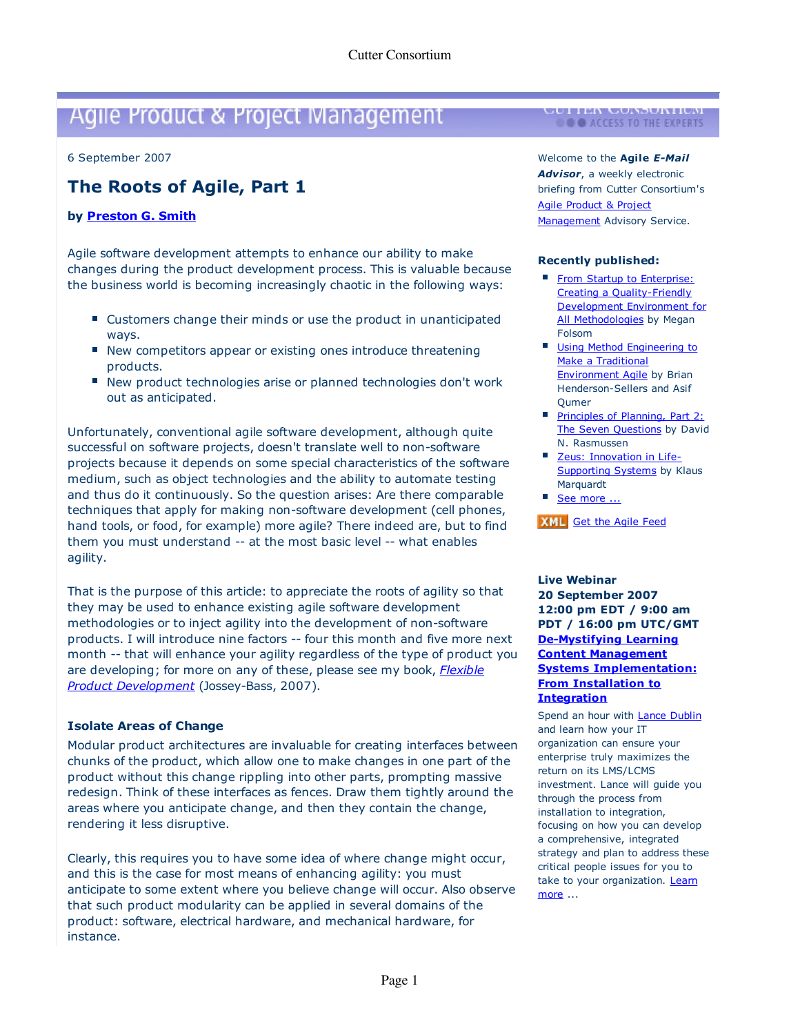# Agile Product & Project Management **I CULLER CONSORTIUM**

6 September 2007 6 September 2007

## **The Roots of Agile, Part 1 The Roots of Agile, Part 1**

#### **by Preston G. Smith by Preston G. Smith**

Agile software development attempts to enhance our ability to make Agile software development attempts to enhance our ability to make changes during the product development process. This is valuable because changes during the product development process. This is valuable because the business world is becoming increasingly chaotic in the following ways: the business world is becoming increasingly chaotic in the following ways:

- Customers change their minds or use the product in unanticipated ways. ways.
- New competitors appear or existing ones introduce threatening products. products.
- New product technologies arise or planned technologies don't work out as anticipated. out as anticipated.

Unfortunately, conventional agile software development, although quite Unfortunately, conventional agile software development, although quite successful on software projects, doesn't translate well to non-software successful on software projects, doesn't translate well to non-software projects because it depends on some special characteristics of the software projects because it depends on some special characteristics of the software medium, such as object technologies and the ability to automate testing medium, such as object technologies and the ability to automate testing and thus do it continuously. So the question arises: Are there comparable and thus do it continuously. So the question arises: Are there comparable techniques that apply for making non-software development (cell phones, techniques that apply for making non-software development (cell phones, hand tools, or food, for example) more agile? There indeed are, but to find hand tools, or food, for example) more agile? There indeed are, but to find them you must understand -- at the most basic level -- what enables them you must understand -- at the most basic level -- what enables agility. agility.

That is the purpose of this article: to appreciate the roots of agility so that That is the purpose of this article: to appreciate the roots of agility so that they may be used to enhance existing agile software development they may be used to enhance existing agile software development methodologies or to inject agility into the development of non-software methodologies or to inject agility into the development of non-software products. I will introduce nine factors -- four this month and five more next products. I will introduce nine factors -- four this month and five more next month -- that will enhance your agility regardless of the type of product you month -- that will enhance your agility regardless of the type of product you are developing; for more on any of these, please see my book, Flexible are developing; for more on any of these, please see my book, *Flexible* Product Development (Jossey-Bass, 2007). *Product Development* (Jossey-Bass, 2007).

### **Isolate Areas of Change Isolate Areas of Change**

Modular product architectures are invaluable for creating interfaces between Modular product architectures are invaluable for creating interfaces between chunks of the product, which allow one to make changes in one part of the chunks of the product, which allow one to make changes in one part of the product without this change rippling into other parts, prompting massive product without this change rippling into other parts, prompting massive redesign. Think of these interfaces as fences. Draw them tightly around the redesign. Think of these interfaces as fences. Draw them tightly around the areas where you anticipate change, and then they contain the change, areas where you anticipate change, and then they contain the change, rendering it less disruptive. rendering it less disruptive.

Clearly, this requires you to have some idea of where change might occur, Clearly, this requires you to have some idea of where change might occur, and this is the case for most means of enhancing agility: you must and this is the case for most means of enhancing agility: you must anticipate to some extent where you believe change will occur. Also observe anticipate to some extent where you believe change will occur. Also observe that such product modularity can be applied in several domains of the that such product modularity can be applied in several domains of the product: software, electrical hardware, and mechanical hardware, for product: software, electrical hardware, and mechanical hardware, for instance. instance.

Welcome to the **Agile E-Mail**  Welcome to the **Agile** *E-Mail*

**Advisor,** a weekly electronic *Advisor*, a weekly electronic briefing from Cutter Consortium's briefing from Cutter Consortium's Agile Product & Project Agile Product & Project Management Advisory Service.

#### **Recently published: Recently published:**

- **From Startup to Enterprise:** Creating a Quality-Friendly Creating a Quality-Friendly Development Environment for Development Environment for All Methodologies by Megan Folsom Folsom
- **Using Method Engineering to** Make a Traditional Make a Traditional Environment Agile by Brian Henderson-Sellers and Asif Henderson-Sellers and Asif Qumer Qumer
- **Principles of Planning, Part 2:** The Seven Questions by David N. Rasmussen N. Rasmussen
- Zeus: Innovation in Life-Zeus: Innovation in Life-Supporting Systems by Klaus Marquardt Marquardt
- See more ...

**XML** Get the Agile Feed

#### **Live Webinar Live Webinar 20 September 2007 20 September 2007 12:00 pm EDT / 9:00 am 12:00 pm EDT / 9:00 am PDT / 16:00 pm UTC/GMT PDT / 16:00 pm UTC/GMT De-Mystifying Learning De-Mystifying Learning Content Management Content Management Systems Implementation: Systems Implementation: From Installation to From Installation to Integration Integration**

Spend an hour with **Lance Dublin** and learn how your IT and learn how your IT organization can ensure your organization can ensure your enterprise truly maximizes the enterprise truly maximizes the return on its LMS/LCMS return on its LMS/LCMS investment. Lance will guide you investment. Lance will guide you through the process from through the process from installation to integration, installation to integration, focusing on how you can develop focusing on how you can develop a comprehensive, integrated a comprehensive, integrated strategy and plan to address these strategy and plan to address these critical people issues for you to critical people issues for you to take to your organization. Learn more ... more ...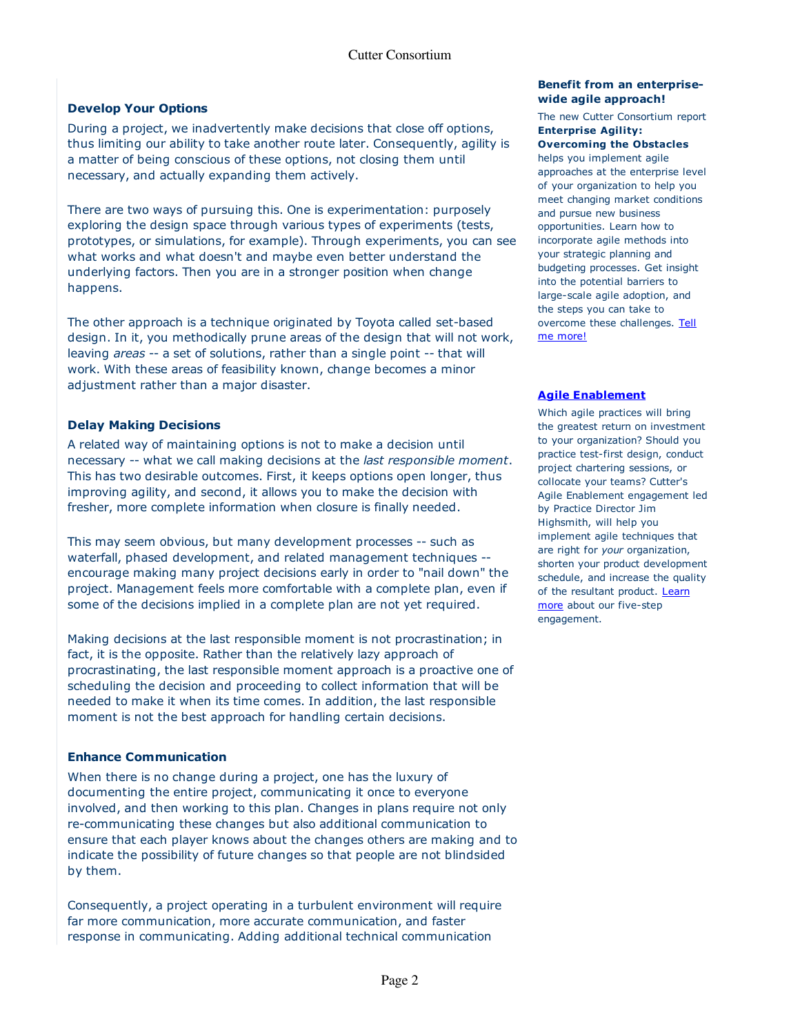#### **Develop Your Options Develop Your Options**

During a project, we inadvertently make decisions that close off options, During a project, we inadvertently make decisions that close off options, thus limiting our ability to take another route later. Consequently, agility is thus limiting our ability to take another route later. Consequently, agility is a matter of being conscious of these options, not closing them until a matter of being conscious of these options, not closing them until necessary, and actually expanding them actively. necessary, and actually expanding them actively.

There are two ways of pursuing this. One is experimentation: purposely There are two ways of pursuing this. One is experimentation: purposely exploring the design space through various types of experiments (tests, exploring the design space through various types of experiments (tests, prototypes, or simulations, for example). Through experiments, you can see prototypes, or simulations, for example). Through experiments, you can see what works and what doesn't and maybe even better understand the what works and what doesn't and maybe even better understand the underlying factors. Then you are in a stronger position when change underlying factors. Then you are in a stronger position when change happens. happens.

The other approach is a technique originated by Toyota called set-based The other approach is a technique originated by Toyota called set-based design. In it, you methodically prune areas of the design that will not work, design. In it, you methodically prune areas of the design that will not work, leaving areas -- a set of solutions, rather than a single point -- that will leaving *areas* -- a set of solutions, rather than a single point -- that will work. With these areas of feasibility known, change becomes a minor work. With these areas of feasibility known, change becomes a minor adjustment rather than a major disaster. adjustment rather than a major disaster.

#### **Delay Making Decisions Delay Making Decisions**

A related way of maintaining options is not to make a decision until A related way of maintaining options is not to make a decision until necessary -- what we call making decisions at the last responsible moment. necessary -- what we call making decisions at the *last responsible moment*. This has two desirable outcomes. First, it keeps options open longer, thus This has two desirable outcomes. First, it keeps options open longer, thus improving agility, and second, it allows you to make the decision with improving agility, and second, it allows you to make the decision with fresher, more complete information when closure is finally needed. fresher, more complete information when closure is finally needed.

This may seem obvious, but many development processes -- such as This may seem obvious, but many development processes -- such as waterfall, phased development, and related management techniques - waterfall, phased development, and related management techniques --<br>encourage making many project decisions early in order to "nail down" the project. Management feels more comfortable with a complete plan, even if project. Management feels more comfortable with a complete plan, even if some of the decisions implied in a complete plan are not yet required. some of the decisions implied in a complete plan are not yet required.

Making decisions at the last responsible moment is not procrastination; in Making decisions at the last responsible moment is not procrastination; in fact, it is the opposite. Rather than the relatively lazy approach of fact, it is the opposite. Rather than the relatively lazy approach of procrastinating, the last responsible moment approach is a proactive one of procrastinating, the last responsible moment approach is a proactive one of scheduling the decision and proceeding to collect information that will be scheduling the decision and proceeding to collect information that will be needed to make it when its time comes. In addition, the last responsible needed to make it when its time comes. In addition, the last responsible moment is not the best approach for handling certain decisions. moment is not the best approach for handling certain decisions.

### **Enhance Communication Enhance Communication**

When there is no change during a project, one has the luxury of When there is no change during a project, one has the luxury of documenting the entire project, communicating it once to everyone documenting the entire project, communicating it once to everyone involved, and then working to this plan. Changes in plans require not only involved, and then working to this plan. Changes in plans require not only re-communicating these changes but also additional communication to re-communicating these changes but also additional communication to ensure that each player knows about the changes others are making and to ensure that each player knows about the changes others are making and to indicate the possibility of future changes so that people are not blindsided indicate the possibility of future changes so that people are not blindsided by them. by them.

Consequently, a project operating in a turbulent environment will require Consequently, a project operating in a turbulent environment will require far more communication, more accurate communication, and faster far more communication, more accurate communication, and faster response in communicating. Adding additional technical communication response in communicating. Adding additional technical communication

#### **Benefit from an enterprise-Benefit from an enterprisewide agile approach! wide agile approach!**

The new Cutter Consortium report The new Cutter Consortium report **Enterprise Agility: Enterprise Agility:**

**Overcoming the Obstacles Overcoming the Obstacles** helps you implement agile helps you implement agile approaches at the enterprise level approaches at the enterprise level of your organization to help you of your organization to help you meet changing market conditions meet changing market conditions and pursue new business and pursue new business opportunities. Learn how to opportunities. Learn how to incorporate agile methods into incorporate agile methods into your strategic planning and your strategic planning and budgeting processes. Get insight budgeting processes. Get insight into the potential barriers to into the potential barriers to large-scale agile adoption, and large-scale agile adoption, and the steps you can take to the steps you can take to overcome these challenges. Tell me more! me more!

#### **Agile Enablement Agile Enablement**

Which agile practices will bring Which agile practices will bring the greatest return on investment the greatest return on investment to your organization? Should you to your organization? Should you practice test-first design, conduct practice test-first design, conduct project chartering sessions, or project chartering sessions, or collocate your teams? Cutter's collocate your teams? Cutter's Agile Enablement engagement led Agile Enablement engagement led by Practice Director Jim by Practice Director Jim Highsmith, will help you Highsmith, will help you implement agile techniques that implement agile techniques that are right for your organization, are right for *your* organization, shorten your product development shorten your product development schedule, and increase the quality schedule, and increase the quality of the resultant product. Learn more about our five-step more about our five-step engagement. engagement.